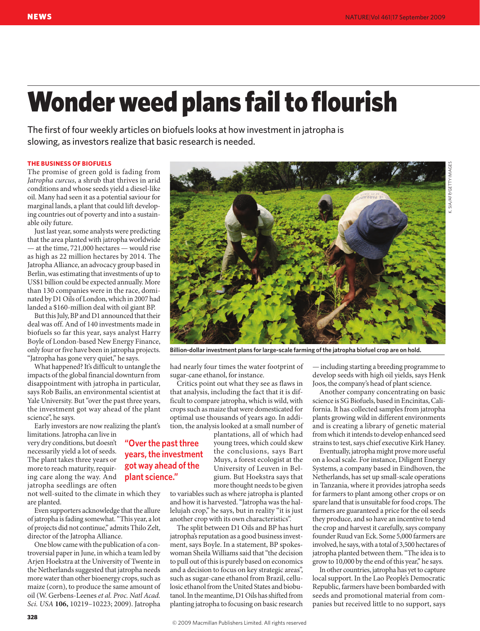## Wonder weed plans fail to flourish

The first of four weekly articles on biofuels looks at how investment in jatropha is slowing, as investors realize that basic research is needed.

## **THE BUSINESS OF BIOFUELS**

The promise of green gold is fading from *Jatropha curcus*, a shrub that thrives in arid conditions and whose seeds yield a diesel-like oil. Many had seen it as a potential saviour for marginal lands, a plant that could lift developing countries out of poverty and into a sustainable oily future.

Just last year, some analysts were predicting that the area planted with jatropha worldwide — at the time, 721,000 hectares — would rise as high as 22 million hectares by 2014. The Jatropha Alliance, an advocacy group based in Berlin, was estimating that investments of up to US\$1 billion could be expected annually. More than 130 companies were in the race, dominated by D1 Oils of London, which in 2007 had landed a \$160-million deal with oil giant BP.

But this July, BP and D1 announced that their deal was off. And of 140 investments made in biofuels so far this year, says analyst Harry Boyle of London-based New Energy Finance, only four or five have been in jatropha projects. "Jatropha has gone very quiet," he says.

What happened? It's difficult to untangle the impacts of the global financial downturn from disappointment with jatropha in particular, says Rob Bailis, an environmental scientist at Yale University. But "over the past three years, the investment got way ahead of the plant science", he says.

Early investors are now realizing the plant's

**years, the investment got way ahead of the plant science."**

limitations. Jatropha can live in very dry conditions, but doesn't **"Over the past three**  necessarily yield a lot of seeds. The plant takes three years or more to reach maturity, requiring care along the way. And jatropha seedlings are often

not well-suited to the climate in which they are planted.

Even supporters acknowledge that the allure of jatropha is fading somewhat. "This year, a lot of projects did not continue," admits Thilo Zelt, director of the Jatropha Alliance.

One blow came with the publication of a controversial paper in June, in which a team led by Arjen Hoekstra at the University of Twente in the Netherlands suggested that jatropha needs more water than other bioenergy crops, such as maize (corn), to produce the same amount of oil (W. Gerbens-Leenes *et al. Proc. Natl Acad. Sci. USA* **106,** 10219–10223; 2009). Jatropha

**328**

had nearly four times the water footprint of sugar-cane ethanol, for instance.

Critics point out what they see as flaws in that analysis, including the fact that it is difficult to compare jatropha, which is wild, with crops such as maize that were domesticated for optimal use thousands of years ago. In addition, the analysis looked at a small number of

> plantations, all of which had young trees, which could skew the conclusions, says Bart Muys, a forest ecologist at the University of Leuven in Belgium. But Hoekstra says that more thought needs to be given

to variables such as where jatropha is planted and how it is harvested. "Jatropha was the hallelujah crop," he says, but in reality "it is just another crop with its own characteristics".

The split between D1 Oils and BP has hurt jatropha's reputation as a good business investment, says Boyle. In a statement, BP spokeswoman Sheila Williams said that "the decision to pull out of this is purely based on economics and a decision to focus on key strategic areas", such as sugar-cane ethanol from Brazil, cellulosic ethanol from the United States and biobutanol. In the meantime, D1 Oils has shifted from planting jatropha to focusing on basic research

— including starting a breeding programme to develop seeds with high oil yields, says Henk Joos, the company's head of plant science.

Another company concentrating on basic science is SG Biofuels, based in Encinitas, California. It has collected samples from jatropha plants growing wild in different environments and is creating a library of genetic material from which it intends to develop enhanced seed strains to test, says chief executive Kirk Haney.

Eventually, jatropha might prove more useful on a local scale. For instance, Diligent Energy Systems, a company based in Eindhoven, the Netherlands, has set up small-scale operations in Tanzania, where it provides jatropha seeds for farmers to plant among other crops or on spare land that is unsuitable for food crops. The farmers are guaranteed a price for the oil seeds they produce, and so have an incentive to tend the crop and harvest it carefully, says company founder Ruud van Eck. Some 5,000 farmers are involved, he says, with a total of 3,500 hectares of jatropha planted between them. "The idea is to grow to 10,000 by the end of this year," he says.

In other countries, jatropha has yet to capture local support. In the Lao People's Democratic Republic, farmers have been bombarded with seeds and promotional material from companies but received little to no support, says

**Billion-dollar investment plans for large-scale farming of the jatropha biofuel crop are on hold.**